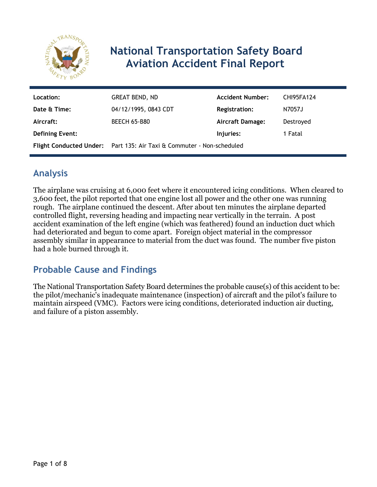

# **National Transportation Safety Board Aviation Accident Final Report**

| Location:              | <b>GREAT BEND, ND</b>                                                 | <b>Accident Number:</b> | <b>CHI95FA124</b> |
|------------------------|-----------------------------------------------------------------------|-------------------------|-------------------|
| Date & Time:           | 04/12/1995, 0843 CDT                                                  | <b>Registration:</b>    | N7057J            |
| Aircraft:              | <b>BEECH 65-B80</b>                                                   | Aircraft Damage:        | Destroyed         |
| <b>Defining Event:</b> |                                                                       | Injuries:               | 1 Fatal           |
|                        | Flight Conducted Under: Part 135: Air Taxi & Commuter - Non-scheduled |                         |                   |

# **Analysis**

The airplane was cruising at 6,000 feet where it encountered icing conditions. When cleared to 3,600 feet, the pilot reported that one engine lost all power and the other one was running rough. The airplane continued the descent. After about ten minutes the airplane departed controlled flight, reversing heading and impacting near vertically in the terrain. A post accident examination of the left engine (which was feathered) found an induction duct which had deteriorated and begun to come apart. Foreign object material in the compressor assembly similar in appearance to material from the duct was found. The number five piston had a hole burned through it.

# **Probable Cause and Findings**

The National Transportation Safety Board determines the probable cause(s) of this accident to be: the pilot/mechanic's inadequate maintenance (inspection) of aircraft and the pilot's failure to maintain airspeed (VMC). Factors were icing conditions, deteriorated induction air ducting, and failure of a piston assembly.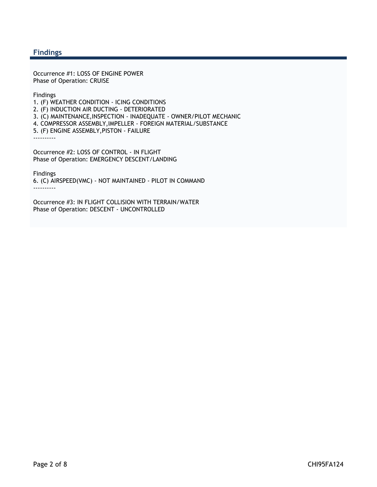#### **Findings**

Occurrence #1: LOSS OF ENGINE POWER Phase of Operation: CRUISE

Findings

1. (F) WEATHER CONDITION - ICING CONDITIONS

2. (F) INDUCTION AIR DUCTING - DETERIORATED

3. (C) MAINTENANCE,INSPECTION - INADEQUATE - OWNER/PILOT MECHANIC

4. COMPRESSOR ASSEMBLY,IMPELLER - FOREIGN MATERIAL/SUBSTANCE

5. (F) ENGINE ASSEMBLY,PISTON - FAILURE

----------

Occurrence #2: LOSS OF CONTROL - IN FLIGHT Phase of Operation: EMERGENCY DESCENT/LANDING

Findings

6. (C) AIRSPEED(VMC) - NOT MAINTAINED - PILOT IN COMMAND ----------

Occurrence #3: IN FLIGHT COLLISION WITH TERRAIN/WATER Phase of Operation: DESCENT - UNCONTROLLED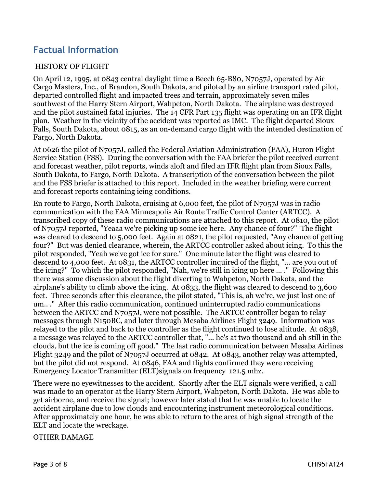# **Factual Information**

#### HISTORY OF FLIGHT

On April 12, 1995, at 0843 central daylight time a Beech 65-B80, N7057J, operated by Air Cargo Masters, Inc., of Brandon, South Dakota, and piloted by an airline transport rated pilot, departed controlled flight and impacted trees and terrain, approximately seven miles southwest of the Harry Stern Airport, Wahpeton, North Dakota. The airplane was destroyed and the pilot sustained fatal injuries. The 14 CFR Part 135 flight was operating on an IFR flight plan. Weather in the vicinity of the accident was reported as IMC. The flight departed Sioux Falls, South Dakota, about 0815, as an on-demand cargo flight with the intended destination of Fargo, North Dakota.

At 0626 the pilot of N7057J, called the Federal Aviation Administration (FAA), Huron Flight Service Station (FSS). During the conversation with the FAA briefer the pilot received current and forecast weather, pilot reports, winds aloft and filed an IFR flight plan from Sioux Falls, South Dakota, to Fargo, North Dakota. A transcription of the conversation between the pilot and the FSS briefer is attached to this report. Included in the weather briefing were current and forecast reports containing icing conditions.

En route to Fargo, North Dakota, cruising at 6,000 feet, the pilot of N7057J was in radio communication with the FAA Minneapolis Air Route Traffic Control Center (ARTCC). A transcribed copy of these radio communications are attached to this report. At 0810, the pilot of N7057J reported, "Yeaaa we're picking up some ice here. Any chance of four?" The flight was cleared to descend to 5,000 feet. Again at 0821, the pilot requested, "Any chance of getting four?" But was denied clearance, wherein, the ARTCC controller asked about icing. To this the pilot responded, "Yeah we've got ice for sure." One minute later the flight was cleared to descend to 4,000 feet. At 0831, the ARTCC controller inquired of the flight, "... are you out of the icing?" To which the pilot responded, "Nah, we're still in icing up here ... ." Following this there was some discussion about the flight diverting to Wahpeton, North Dakota, and the airplane's ability to climb above the icing. At 0833, the flight was cleared to descend to 3,600 feet. Three seconds after this clearance, the pilot stated, "This is, ah we're, we just lost one of um.. ." After this radio communication, continued uninterrupted radio communications between the ARTCC and N7057J, were not possible. The ARTCC controller began to relay messages through N150BC, and later through Mesaba Airlines Flight 3249. Information was relayed to the pilot and back to the controller as the flight continued to lose altitude. At 0838, a message was relayed to the ARTCC controller that, "... he's at two thousand and ah still in the clouds, but the ice is coming off good." The last radio communication between Mesaba Airlines Flight 3249 and the pilot of N7057J occurred at 0842. At 0843, another relay was attempted, but the pilot did not respond. At 0846, FAA and flights confirmed they were receiving Emergency Locator Transmitter (ELT)signals on frequency 121.5 mhz.

There were no eyewitnesses to the accident. Shortly after the ELT signals were verified, a call was made to an operator at the Harry Stern Airport, Wahpeton, North Dakota. He was able to get airborne, and receive the signal; however later stated that he was unable to locate the accident airplane due to low clouds and encountering instrument meteorological conditions. After approximately one hour, he was able to return to the area of high signal strength of the ELT and locate the wreckage.

#### OTHER DAMAGE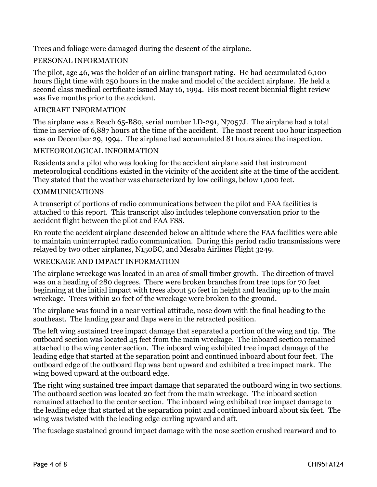Trees and foliage were damaged during the descent of the airplane.

#### PERSONAL INFORMATION

The pilot, age 46, was the holder of an airline transport rating. He had accumulated 6,100 hours flight time with 250 hours in the make and model of the accident airplane. He held a second class medical certificate issued May 16, 1994. His most recent biennial flight review was five months prior to the accident.

#### AIRCRAFT INFORMATION

The airplane was a Beech 65-B80, serial number LD-291, N7057J. The airplane had a total time in service of 6,887 hours at the time of the accident. The most recent 100 hour inspection was on December 29, 1994. The airplane had accumulated 81 hours since the inspection.

#### METEOROLOGICAL INFORMATION

Residents and a pilot who was looking for the accident airplane said that instrument meteorological conditions existed in the vicinity of the accident site at the time of the accident. They stated that the weather was characterized by low ceilings, below 1,000 feet.

#### COMMUNICATIONS

A transcript of portions of radio communications between the pilot and FAA facilities is attached to this report. This transcript also includes telephone conversation prior to the accident flight between the pilot and FAA FSS.

En route the accident airplane descended below an altitude where the FAA facilities were able to maintain uninterrupted radio communication. During this period radio transmissions were relayed by two other airplanes, N150BC, and Mesaba Airlines Flight 3249.

#### WRECKAGE AND IMPACT INFORMATION

The airplane wreckage was located in an area of small timber growth. The direction of travel was on a heading of 280 degrees. There were broken branches from tree tops for 70 feet beginning at the initial impact with trees about 50 feet in height and leading up to the main wreckage. Trees within 20 feet of the wreckage were broken to the ground.

The airplane was found in a near vertical attitude, nose down with the final heading to the southeast. The landing gear and flaps were in the retracted position.

The left wing sustained tree impact damage that separated a portion of the wing and tip. The outboard section was located 45 feet from the main wreckage. The inboard section remained attached to the wing center section. The inboard wing exhibited tree impact damage of the leading edge that started at the separation point and continued inboard about four feet. The outboard edge of the outboard flap was bent upward and exhibited a tree impact mark. The wing bowed upward at the outboard edge.

The right wing sustained tree impact damage that separated the outboard wing in two sections. The outboard section was located 20 feet from the main wreckage. The inboard section remained attached to the center section. The inboard wing exhibited tree impact damage to the leading edge that started at the separation point and continued inboard about six feet. The wing was twisted with the leading edge curling upward and aft.

The fuselage sustained ground impact damage with the nose section crushed rearward and to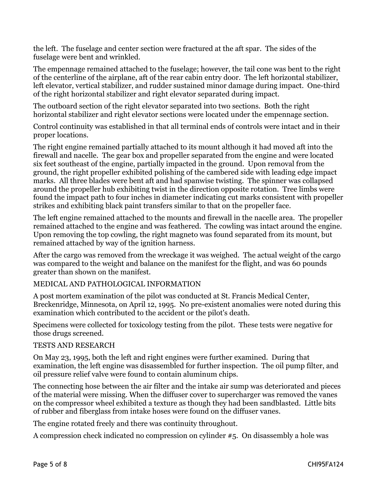the left. The fuselage and center section were fractured at the aft spar. The sides of the fuselage were bent and wrinkled.

The empennage remained attached to the fuselage; however, the tail cone was bent to the right of the centerline of the airplane, aft of the rear cabin entry door. The left horizontal stabilizer, left elevator, vertical stabilizer, and rudder sustained minor damage during impact. One-third of the right horizontal stabilizer and right elevator separated during impact.

The outboard section of the right elevator separated into two sections. Both the right horizontal stabilizer and right elevator sections were located under the empennage section.

Control continuity was established in that all terminal ends of controls were intact and in their proper locations.

The right engine remained partially attached to its mount although it had moved aft into the firewall and nacelle. The gear box and propeller separated from the engine and were located six feet southeast of the engine, partially impacted in the ground. Upon removal from the ground, the right propeller exhibited polishing of the cambered side with leading edge impact marks. All three blades were bent aft and had spanwise twisting. The spinner was collapsed around the propeller hub exhibiting twist in the direction opposite rotation. Tree limbs were found the impact path to four inches in diameter indicating cut marks consistent with propeller strikes and exhibiting black paint transfers similar to that on the propeller face.

The left engine remained attached to the mounts and firewall in the nacelle area. The propeller remained attached to the engine and was feathered. The cowling was intact around the engine. Upon removing the top cowling, the right magneto was found separated from its mount, but remained attached by way of the ignition harness.

After the cargo was removed from the wreckage it was weighed. The actual weight of the cargo was compared to the weight and balance on the manifest for the flight, and was 60 pounds greater than shown on the manifest.

#### MEDICAL AND PATHOLOGICAL INFORMATION

A post mortem examination of the pilot was conducted at St. Francis Medical Center, Breckenridge, Minnesota, on April 12, 1995. No pre-existent anomalies were noted during this examination which contributed to the accident or the pilot's death.

Specimens were collected for toxicology testing from the pilot. These tests were negative for those drugs screened.

#### TESTS AND RESEARCH

On May 23, 1995, both the left and right engines were further examined. During that examination, the left engine was disassembled for further inspection. The oil pump filter, and oil pressure relief valve were found to contain aluminum chips.

The connecting hose between the air filter and the intake air sump was deteriorated and pieces of the material were missing. When the diffuser cover to supercharger was removed the vanes on the compressor wheel exhibited a texture as though they had been sandblasted. Little bits of rubber and fiberglass from intake hoses were found on the diffuser vanes.

The engine rotated freely and there was continuity throughout.

A compression check indicated no compression on cylinder #5. On disassembly a hole was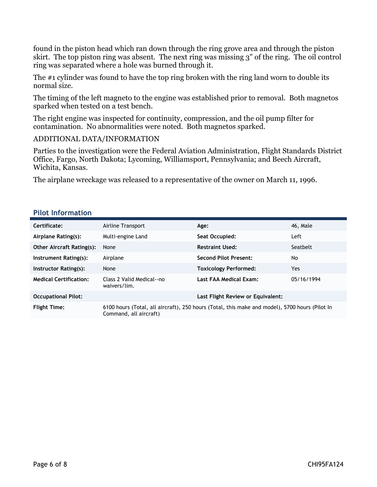found in the piston head which ran down through the ring grove area and through the piston skirt. The top piston ring was absent. The next ring was missing 3" of the ring. The oil control ring was separated where a hole was burned through it.

The #1 cylinder was found to have the top ring broken with the ring land worn to double its normal size.

The timing of the left magneto to the engine was established prior to removal. Both magnetos sparked when tested on a test bench.

The right engine was inspected for continuity, compression, and the oil pump filter for contamination. No abnormalities were noted. Both magnetos sparked.

#### ADDITIONAL DATA/INFORMATION

Parties to the investigation were the Federal Aviation Administration, Flight Standards District Office, Fargo, North Dakota; Lycoming, Williamsport, Pennsylvania; and Beech Aircraft, Wichita, Kansas.

The airplane wreckage was released to a representative of the owner on March 11, 1996.

#### **Pilot Information**

| Certificate:                     | Airline Transport                                                                                                        | Age:                              | 46, Male   |
|----------------------------------|--------------------------------------------------------------------------------------------------------------------------|-----------------------------------|------------|
| Airplane Rating(s):              | Multi-engine Land                                                                                                        | Seat Occupied:                    | Left       |
| <b>Other Aircraft Rating(s):</b> | None                                                                                                                     | <b>Restraint Used:</b>            | Seatbelt   |
| Instrument Rating(s):            | Airplane                                                                                                                 | <b>Second Pilot Present:</b>      | No         |
| Instructor Rating(s):            | None                                                                                                                     | <b>Toxicology Performed:</b>      | Yes        |
| <b>Medical Certification:</b>    | Class 2 Valid Medical--no<br>waivers/lim.                                                                                | Last FAA Medical Exam:            | 05/16/1994 |
| <b>Occupational Pilot:</b>       |                                                                                                                          | Last Flight Review or Equivalent: |            |
| <b>Flight Time:</b>              | 6100 hours (Total, all aircraft), 250 hours (Total, this make and model), 5700 hours (Pilot In<br>Command, all aircraft) |                                   |            |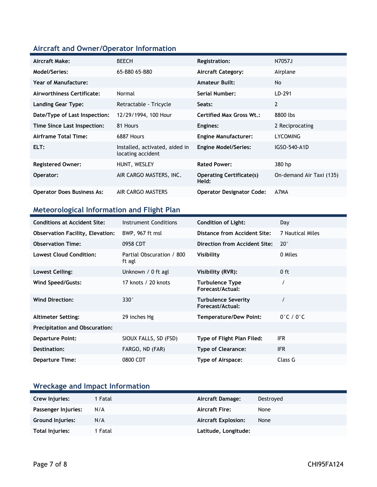### **Aircraft and Owner/Operator Information**

| Aircraft Make:                    | <b>BEECH</b>                                        | <b>Registration:</b>                     | N7057J                   |
|-----------------------------------|-----------------------------------------------------|------------------------------------------|--------------------------|
| Model/Series:                     | 65-B80 65-B80                                       | <b>Aircraft Category:</b>                | Airplane                 |
| Year of Manufacture:              |                                                     | <b>Amateur Built:</b>                    | No                       |
| Airworthiness Certificate:        | Normal                                              | <b>Serial Number:</b>                    | LD-291                   |
| <b>Landing Gear Type:</b>         | Retractable - Tricycle                              | Seats:                                   | $\overline{2}$           |
| Date/Type of Last Inspection:     | 12/29/1994, 100 Hour                                | <b>Certified Max Gross Wt.:</b>          | 8800 lbs                 |
| Time Since Last Inspection:       | 81 Hours                                            | Engines:                                 | 2 Reciprocating          |
| Airframe Total Time:              | 6887 Hours                                          | <b>Engine Manufacturer:</b>              | LYCOMING                 |
| ELT:                              | Installed, activated, aided in<br>locating accident | <b>Engine Model/Series:</b>              | IGSO-540-A1D             |
| <b>Registered Owner:</b>          | HUNT, WESLEY                                        | <b>Rated Power:</b>                      | 380 hp                   |
| Operator:                         | AIR CARGO MASTERS, INC.                             | <b>Operating Certificate(s)</b><br>Held: | On-demand Air Taxi (135) |
| <b>Operator Does Business As:</b> | AIR CARGO MASTERS                                   | <b>Operator Designator Code:</b>         | A7MA                     |

### **Meteorological Information and Flight Plan**

| <b>Conditions at Accident Site:</b>     | Instrument Conditions               | <b>Condition of Light:</b>                     | Day                           |
|-----------------------------------------|-------------------------------------|------------------------------------------------|-------------------------------|
| <b>Observation Facility, Elevation:</b> | BWP, 967 ft msl                     | Distance from Accident Site:                   | 7 Nautical Miles              |
| <b>Observation Time:</b>                | 0958 CDT                            | Direction from Accident Site:                  | $20^{\circ}$                  |
| <b>Lowest Cloud Condition:</b>          | Partial Obscuration / 800<br>ft agl | Visibility                                     | 0 Miles                       |
| Lowest Ceiling:                         | Unknown / 0 ft agl                  | Visibility (RVR):                              | $0$ ft                        |
| Wind Speed/Gusts:                       | 17 knots / 20 knots                 | Turbulence Type<br>Forecast/Actual:            |                               |
| <b>Wind Direction:</b>                  | $330^\circ$                         | <b>Turbulence Severity</b><br>Forecast/Actual: |                               |
| <b>Altimeter Setting:</b>               | 29 inches Hg                        | <b>Temperature/Dew Point:</b>                  | $0^{\circ}$ C / $0^{\circ}$ C |
| <b>Precipitation and Obscuration:</b>   |                                     |                                                |                               |
| <b>Departure Point:</b>                 | SIOUX FALLS, SD (FSD)               | Type of Flight Plan Filed:                     | IFR.                          |
| Destination:                            | FARGO, ND (FAR)                     | <b>Type of Clearance:</b>                      | <b>IFR</b>                    |
| <b>Departure Time:</b>                  | 0800 CDT                            | Type of Airspace:                              | Class G                       |

### **Wreckage and Impact Information**

| Crew Injuries:          | 1 Fatal | Aircraft Damage:           | Destroyed |
|-------------------------|---------|----------------------------|-----------|
| Passenger Injuries:     | N/A     | <b>Aircraft Fire:</b>      | None      |
| <b>Ground Injuries:</b> | N/A     | <b>Aircraft Explosion:</b> | None      |
| Total Injuries:         | 1 Fatal | Latitude, Longitude:       |           |